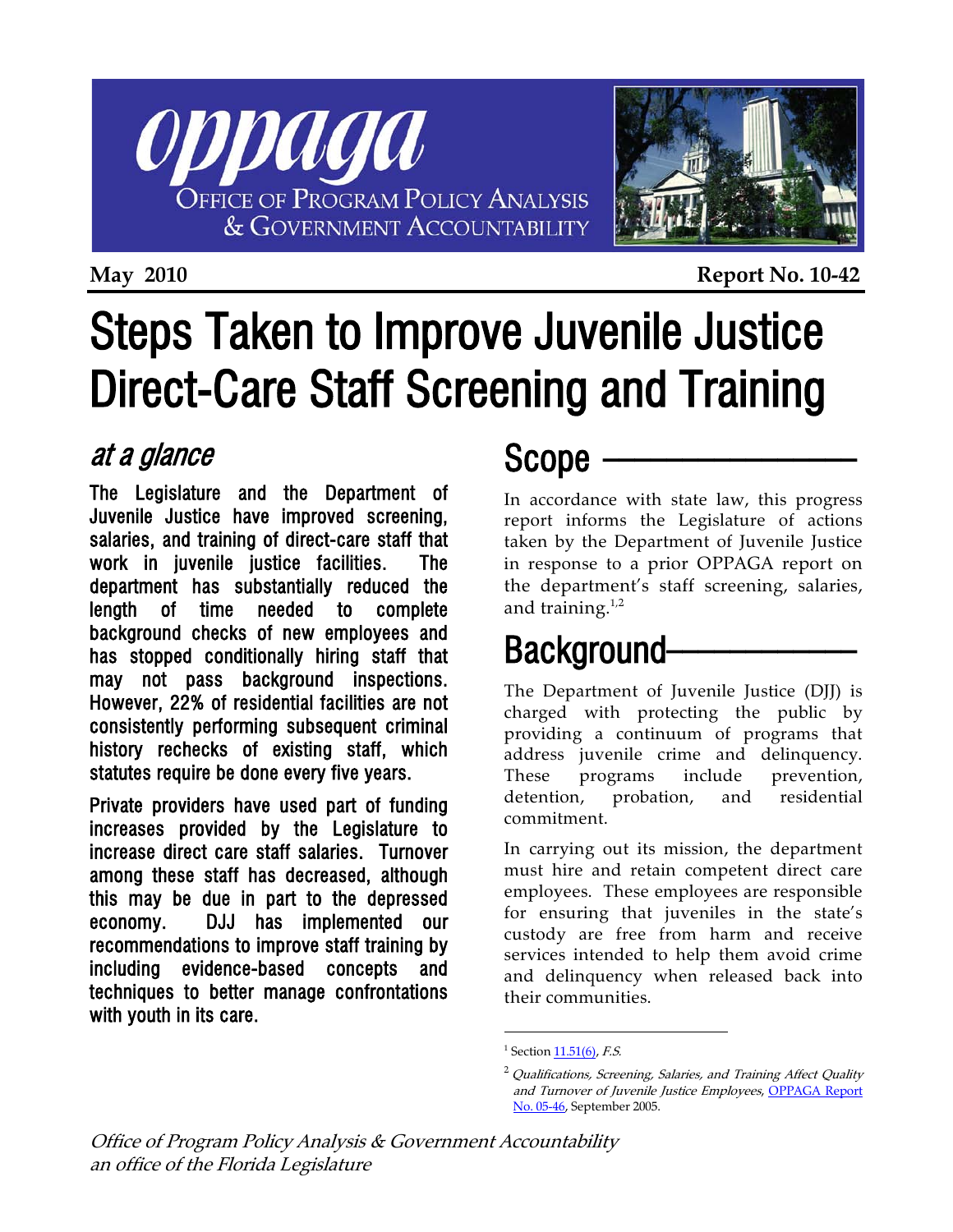



**May 2010 Report No. 10-42**

# Steps Taken to Improve Juvenile Justice Direct-Care Staff Screening and Training

#### at a glance

The Legislature and the Department of Juvenile Justice have improved screening, salaries, and training of direct-care staff that work in juvenile justice facilities. The department has substantially reduced the length of time needed to complete background checks of new employees and has stopped conditionally hiring staff that may not pass background inspections. However, 22% of residential facilities are not consistently performing subsequent criminal history rechecks of existing staff, which statutes require be done every five years.

<span id="page-0-1"></span><span id="page-0-0"></span>Private providers have used part of funding increases provided by the Legislature to increase direct care staff salaries. Turnover among these staff has decreased, although this may be due in part to the depressed economy. DJJ has implemented our recommendations to improve staff training by including evidence-based concepts and techniques to better manage confrontations with youth in its care.

### Scope \_\_\_\_\_\_\_\_\_\_\_\_\_\_\_\_

In accordance with state law, this progress report informs the Legislature of actions taken by the Department of Juvenile Justice in response to a prior OPPAGA report on the department's staff screening, salaries, and training.<sup>[1](#page-0-0),[2](#page-0-1)</sup>

# Background-

The Department of Juvenile Justice (DJJ) is charged with protecting the public by providing a continuum of programs that address juvenile crime and delinquency. These programs include prevention, detention, probation, and residential commitment.

In carrying out its mission, the department must hire and retain competent direct care employees. These employees are responsible for ensuring that juveniles in the state's custody are free from harm and receive services intended to help them avoid crime and delinquency when released back into their communities.

 $\overline{a}$ 

<sup>&</sup>lt;sup>1</sup> Section  $11.51(6)$ , *F.S.* 

 $^{2}$  Qualifications, Screening, Salaries, and Training Affect Quality and Turnover of Juvenile Justice Employees, [OPPAGA Report](http://www.oppaga.state.fl.us/Summary.aspx?reportNum=05-46)  [No. 05-46,](http://www.oppaga.state.fl.us/Summary.aspx?reportNum=05-46) September 2005.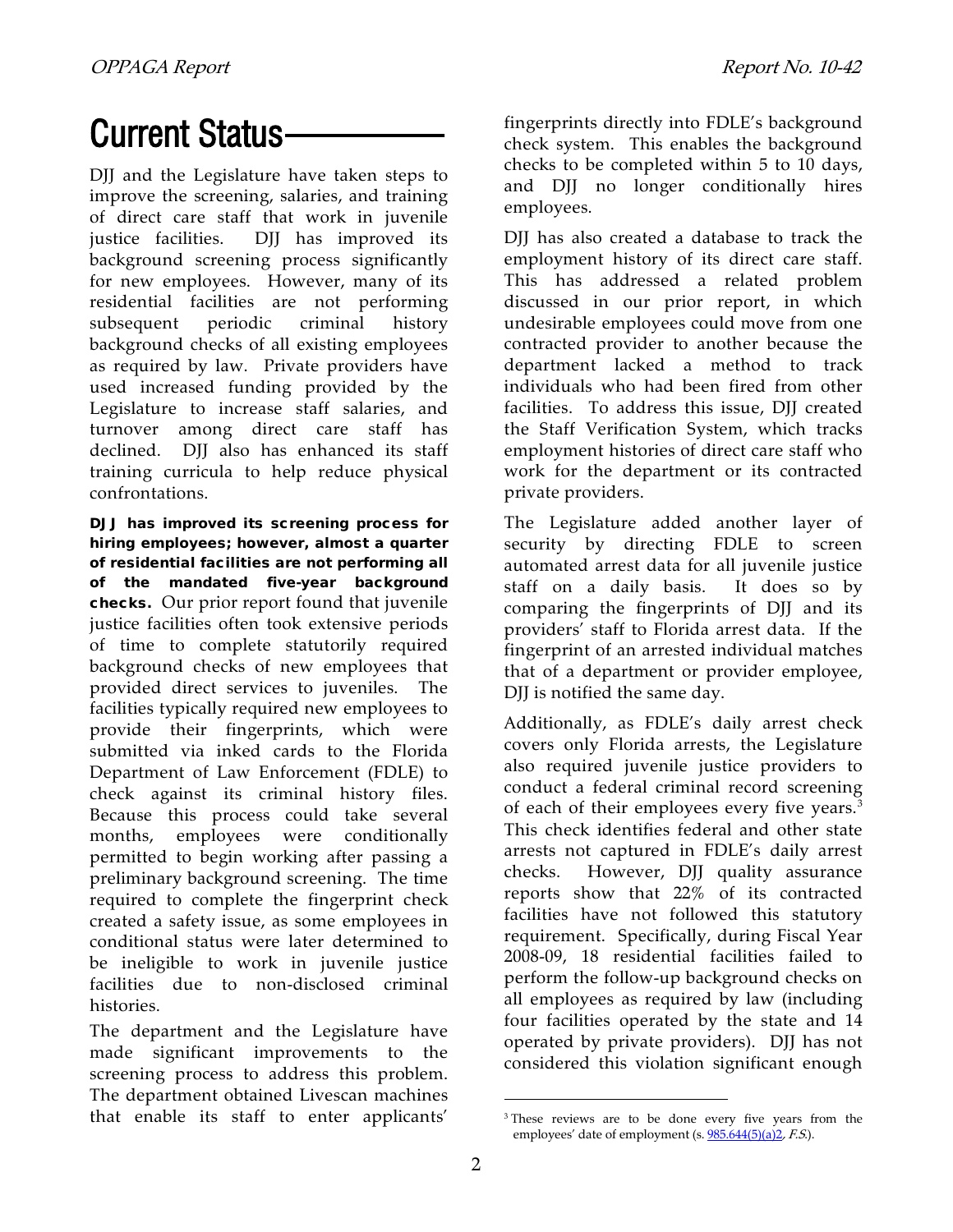# **Current Status-**

DJJ and the Legislature have taken steps to improve the screening, salaries, and training of direct care staff that work in juvenile justice facilities. DJJ has improved its background screening process significantly for new employees. However, many of its residential facilities are not performing subsequent periodic criminal history background checks of all existing employees as required by law. Private providers have used increased funding provided by the Legislature to increase staff salaries, and turnover among direct care staff has declined. DJJ also has enhanced its staff training curricula to help reduce physical confrontations.

DJJ has improved its screening process for hiring employees; however, almost a quarter of residential facilities are not performing all of the mandated five-year background checks.Our prior report found that juvenile justice facilities often took extensive periods of time to complete statutorily required background checks of new employees that provided direct services to juveniles. The facilities typically required new employees to provide their fingerprints, which were submitted via inked cards to the Florida Department of Law Enforcement (FDLE) to check against its criminal history files. Because this process could take several months, employees were conditionally permitted to begin working after passing a preliminary background screening. The time required to complete the fingerprint check created a safety issue, as some employees in conditional status were later determined to be ineligible to work in juvenile justice facilities due to non-disclosed criminal histories.

<span id="page-1-0"></span>The department and the Legislature have made significant improvements to the screening process to address this problem. The department obtained Livescan machines that enable its staff to enter applicants'

fingerprints directly into FDLE's background check system. This enables the background checks to be completed within 5 to 10 days, and DJJ no longer conditionally hires employees.

DJJ has also created a database to track the employment history of its direct care staff. This has addressed a related problem discussed in our prior report, in which undesirable employees could move from one contracted provider to another because the department lacked a method to track individuals who had been fired from other facilities. To address this issue, DII created the Staff Verification System, which tracks employment histories of direct care staff who work for the department or its contracted private providers.

The Legislature added another layer of security by directing FDLE to screen automated arrest data for all juvenile justice staff on a daily basis. It does so by comparing the fingerprints of DJJ and its providers' staff to Florida arrest data. If the fingerprint of an arrested individual matches that of a department or provider employee, DJJ is notified the same day.

Additionally, as FDLE's daily arrest check covers only Florida arrests, the Legislature also required juvenile justice providers to conduct a federal criminal record screening of each of their employees every five years.<sup>[3](#page-1-0)</sup> This check identifies federal and other state arrests not captured in FDLE's daily arrest checks. However, DJJ quality assurance reports show that 22% of its contracted facilities have not followed this statutory requirement. Specifically, during Fiscal Year 2008-09, 18 residential facilities failed to perform the follow-up background checks on all employees as required by law (including four facilities operated by the state and 14 operated by private providers). DJJ has not considered this violation significant enough

 $\overline{a}$ 

<sup>&</sup>lt;sup>3</sup> These reviews are to be done every five years from the employees' date of employment (s. <u>[985.644\(5\)\(a\)2](http://www.leg.state.fl.us/Statutes/index.cfm?App_mode=Display_Statute&Search_String=&URL=Ch0985/SEC644.HTM&Title=-%3E2009-%3ECh0985-%3ESection%20644#0985.644)</u>, *F.S*.).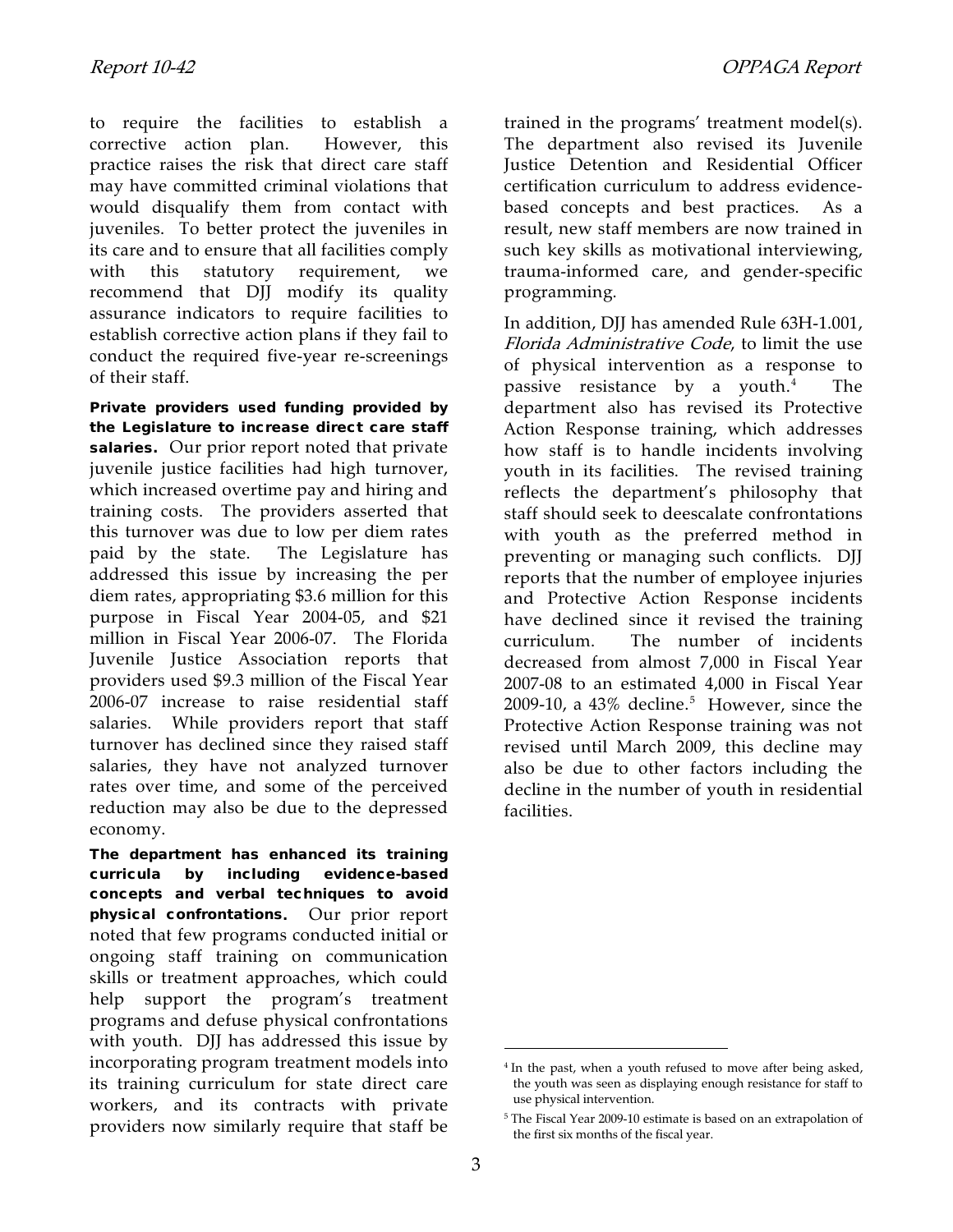to require the facilities to establish a corrective action plan. However, this practice raises the risk that direct care staff may have committed criminal violations that would disqualify them from contact with juveniles. To better protect the juveniles in its care and to ensure that all facilities comply with this statutory requirement, we recommend that DJJ modify its quality assurance indicators to require facilities to establish corrective action plans if they fail to conduct the required five-year re-screenings of their staff.

Private providers used funding provided by the Legislature to increase direct care staff salaries. Our prior report noted that private juvenile justice facilities had high turnover, which increased overtime pay and hiring and training costs. The providers asserted that this turnover was due to low per diem rates paid by the state. The Legislature has addressed this issue by increasing the per diem rates, appropriating \$3.6 million for this purpose in Fiscal Year 2004-05, and \$21 million in Fiscal Year 2006-07. The Florida Juvenile Justice Association reports that providers used \$9.3 million of the Fiscal Year 2006-07 increase to raise residential staff salaries. While providers report that staff turnover has declined since they raised staff salaries, they have not analyzed turnover rates over time, and some of the perceived reduction may also be due to the depressed economy.

<span id="page-2-1"></span><span id="page-2-0"></span>The department has enhanced its training curricula by including evidence-based concepts and verbal techniques to avoid physical confrontations**.** Our prior report noted that few programs conducted initial or ongoing staff training on communication skills or treatment approaches, which could help support the program's treatment programs and defuse physical confrontations with youth. DJJ has addressed this issue by incorporating program treatment models into its training curriculum for state direct care workers, and its contracts with private providers now similarly require that staff be

trained in the programs' treatment model(s). The department also revised its Juvenile Justice Detention and Residential Officer certification curriculum to address evidencebased concepts and best practices. As a result, new staff members are now trained in such key skills as motivational interviewing, trauma-informed care, and gender-specific programming.

In addition, DJJ has amended Rule 63H-1.001, Florida Administrative Code, to limit the use of physical intervention as a response to passive resistance by a youth. $4$  The department also has revised its Protective Action Response training, which addresses how staff is to handle incidents involving youth in its facilities. The revised training reflects the department's philosophy that staff should seek to deescalate confrontations with youth as the preferred method in preventing or managing such conflicts. DJJ reports that the number of employee injuries and Protective Action Response incidents have declined since it revised the training curriculum. The number of incidents decreased from almost 7,000 in Fiscal Year 2007-08 to an estimated 4,000 in Fiscal Year 2009-10, a  $43\%$  decline.<sup>[5](#page-2-1)</sup> However, since the Protective Action Response training was not revised until March 2009, this decline may also be due to other factors including the decline in the number of youth in residential facilities.

 $\overline{a}$ 

<sup>&</sup>lt;sup>4</sup> In the past, when a youth refused to move after being asked, the youth was seen as displaying enough resistance for staff to use physical intervention.

<sup>5</sup> The Fiscal Year 2009-10 estimate is based on an extrapolation of the first six months of the fiscal year.